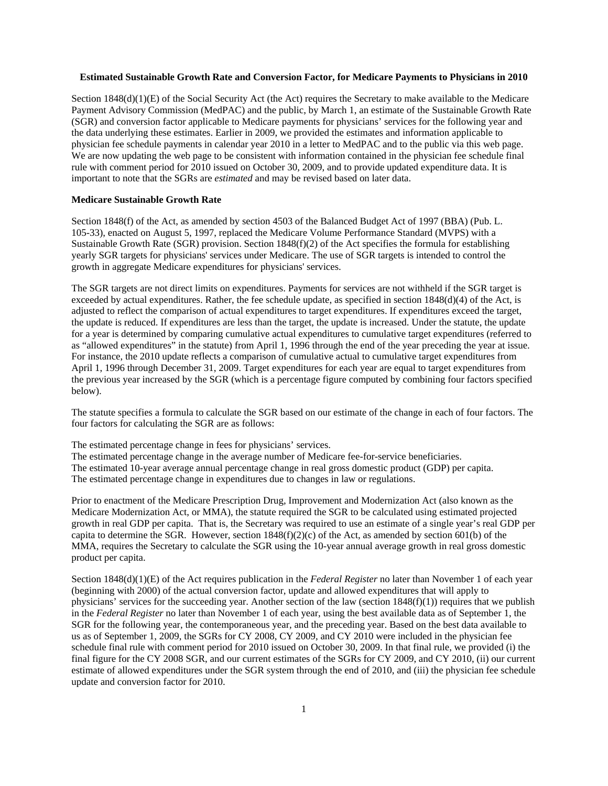# **Estimated Sustainable Growth Rate and Conversion Factor, for Medicare Payments to Physicians in 2010**

Section 1848(d)(1)(E) of the Social Security Act (the Act) requires the Secretary to make available to the Medicare Payment Advisory Commission (MedPAC) and the public, by March 1, an estimate of the Sustainable Growth Rate (SGR) and conversion factor applicable to Medicare payments for physicians' services for the following year and the data underlying these estimates. Earlier in 2009, we provided the estimates and information applicable to physician fee schedule payments in calendar year 2010 in a letter to MedPAC and to the public via this web page. We are now updating the web page to be consistent with information contained in the physician fee schedule final rule with comment period for 2010 issued on October 30, 2009, and to provide updated expenditure data. It is important to note that the SGRs are *estimated* and may be revised based on later data.

#### **Medicare Sustainable Growth Rate**

Section 1848(f) of the Act, as amended by section 4503 of the Balanced Budget Act of 1997 (BBA) (Pub. L. 105-33), enacted on August 5, 1997, replaced the Medicare Volume Performance Standard (MVPS) with a Sustainable Growth Rate (SGR) provision. Section 1848(f)(2) of the Act specifies the formula for establishing yearly SGR targets for physicians' services under Medicare. The use of SGR targets is intended to control the growth in aggregate Medicare expenditures for physicians' services.

The SGR targets are not direct limits on expenditures. Payments for services are not withheld if the SGR target is exceeded by actual expenditures. Rather, the fee schedule update, as specified in section 1848(d)(4) of the Act, is adjusted to reflect the comparison of actual expenditures to target expenditures. If expenditures exceed the target, the update is reduced. If expenditures are less than the target, the update is increased. Under the statute, the update for a year is determined by comparing cumulative actual expenditures to cumulative target expenditures (referred to as "allowed expenditures" in the statute) from April 1, 1996 through the end of the year preceding the year at issue. For instance, the 2010 update reflects a comparison of cumulative actual to cumulative target expenditures from April 1, 1996 through December 31, 2009. Target expenditures for each year are equal to target expenditures from the previous year increased by the SGR (which is a percentage figure computed by combining four factors specified below).

The statute specifies a formula to calculate the SGR based on our estimate of the change in each of four factors. The four factors for calculating the SGR are as follows:

The estimated percentage change in fees for physicians' services.

The estimated percentage change in the average number of Medicare fee-for-service beneficiaries. The estimated 10-year average annual percentage change in real gross domestic product (GDP) per capita. The estimated percentage change in expenditures due to changes in law or regulations.

Prior to enactment of the Medicare Prescription Drug, Improvement and Modernization Act (also known as the Medicare Modernization Act, or MMA), the statute required the SGR to be calculated using estimated projected growth in real GDP per capita. That is, the Secretary was required to use an estimate of a single year's real GDP per capita to determine the SGR. However, section  $1848(f)(2)(c)$  of the Act, as amended by section 601(b) of the MMA, requires the Secretary to calculate the SGR using the 10-year annual average growth in real gross domestic product per capita.

Section 1848(d)(1)(E) of the Act requires publication in the *Federal Register* no later than November 1 of each year (beginning with 2000) of the actual conversion factor, update and allowed expenditures that will apply to physicians' services for the succeeding year. Another section of the law (section  $1848(f)(1)$ ) requires that we publish in the *Federal Register* no later than November 1 of each year, using the best available data as of September 1, the SGR for the following year, the contemporaneous year, and the preceding year. Based on the best data available to us as of September 1, 2009, the SGRs for CY 2008, CY 2009, and CY 2010 were included in the physician fee schedule final rule with comment period for 2010 issued on October 30, 2009. In that final rule, we provided (i) the final figure for the CY 2008 SGR, and our current estimates of the SGRs for CY 2009, and CY 2010, (ii) our current estimate of allowed expenditures under the SGR system through the end of 2010, and (iii) the physician fee schedule update and conversion factor for 2010.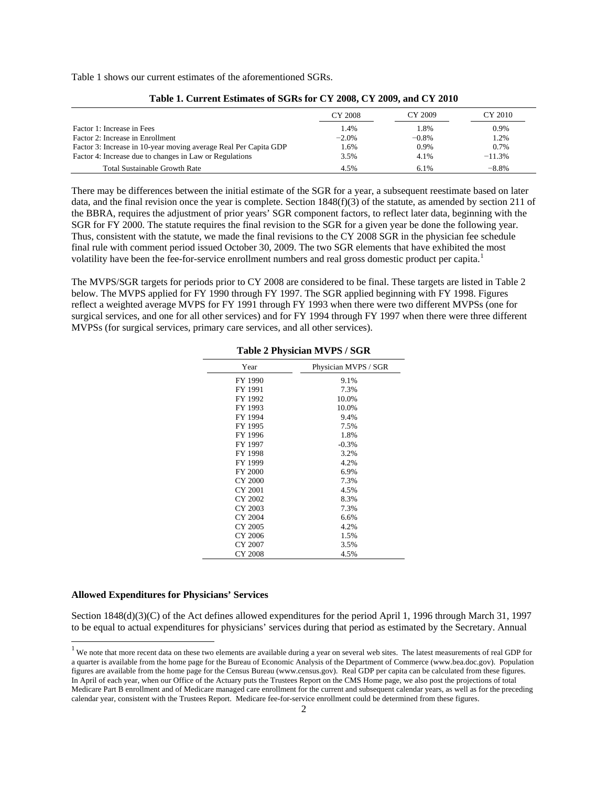Table 1 shows our current estimates of the aforementioned SGRs.

|                                                                  | CY 2008 | CY 2009 | CY 2010  |
|------------------------------------------------------------------|---------|---------|----------|
| Factor 1: Increase in Fees                                       | 1.4%    | 1.8%    | 0.9%     |
| Factor 2: Increase in Enrollment                                 | $-2.0%$ | $-0.8%$ | 1.2%     |
| Factor 3: Increase in 10-year moving average Real Per Capita GDP | 1.6%    | $0.9\%$ | 0.7%     |
| Factor 4: Increase due to changes in Law or Regulations          | 3.5%    | 4.1%    | $-11.3%$ |
| <b>Total Sustainable Growth Rate</b>                             | 4.5%    | 6.1%    | $-8.8%$  |

**Table 1. Current Estimates of SGRs for CY 2008, CY 2009, and CY 2010** 

There may be differences between the initial estimate of the SGR for a year, a subsequent reestimate based on later data, and the final revision once the year is complete. Section 1848(f)(3) of the statute, as amended by section 211 of the BBRA, requires the adjustment of prior years' SGR component factors, to reflect later data, beginning with the SGR for FY 2000. The statute requires the final revision to the SGR for a given year be done the following year. Thus, consistent with the statute, we made the final revisions to the CY 2008 SGR in the physician fee schedule final rule with comment period issued October 30, 2009. The two SGR elements that have exhibited the most volatility have been the fee-for-service enrollment numbers and real gross domestic product per capita.<sup>[1](#page-1-0)</sup>

The MVPS/SGR targets for periods prior to CY 2008 are considered to be final. These targets are listed in Table 2 below. The MVPS applied for FY 1990 through FY 1997. The SGR applied beginning with FY 1998. Figures reflect a weighted average MVPS for FY 1991 through FY 1993 when there were two different MVPSs (one for surgical services, and one for all other services) and for FY 1994 through FY 1997 when there were three different MVPSs (for surgical services, primary care services, and all other services).

| Year    | Physician MVPS / SGR |
|---------|----------------------|
| FY 1990 | 9.1%                 |
| FY 1991 | 7.3%                 |
| FY 1992 | 10.0%                |
| FY 1993 | 10.0%                |
| FY 1994 | 9.4%                 |
| FY 1995 | 7.5%                 |
| FY 1996 | 1.8%                 |
| FY 1997 | $-0.3%$              |
| FY 1998 | 3.2%                 |
| FY 1999 | 4.2%                 |
| FY 2000 | 6.9%                 |
| CY 2000 | 7.3%                 |
| CY 2001 | 4.5%                 |
| CY 2002 | 8.3%                 |
| CY 2003 | 7.3%                 |
| CY 2004 | 6.6%                 |
| CY 2005 | 4.2%                 |
| CY 2006 | 1.5%                 |
| CY 2007 | 3.5%                 |
| CY 2008 | 4.5%                 |

**Table 2 Physician MVPS / SGR** 

# **Allowed Expenditures for Physicians' Services**

 $\overline{a}$ 

Section 1848(d)(3)(C) of the Act defines allowed expenditures for the period April 1, 1996 through March 31, 1997 to be equal to actual expenditures for physicians' services during that period as estimated by the Secretary. Annual

<span id="page-1-0"></span><sup>&</sup>lt;sup>1</sup> We note that more recent data on these two elements are available during a year on several web sites. The latest measurements of real GDP for a quarter is available from the home page for the Bureau of Economic Analysis of the Department of Commerce (www.bea.doc.gov). Population figures are available from the home page for the Census Bureau (www.census.gov). Real GDP per capita can be calculated from these figures. In April of each year, when our Office of the Actuary puts the Trustees Report on the CMS Home page, we also post the projections of total Medicare Part B enrollment and of Medicare managed care enrollment for the current and subsequent calendar years, as well as for the preceding calendar year, consistent with the Trustees Report. Medicare fee-for-service enrollment could be determined from these figures.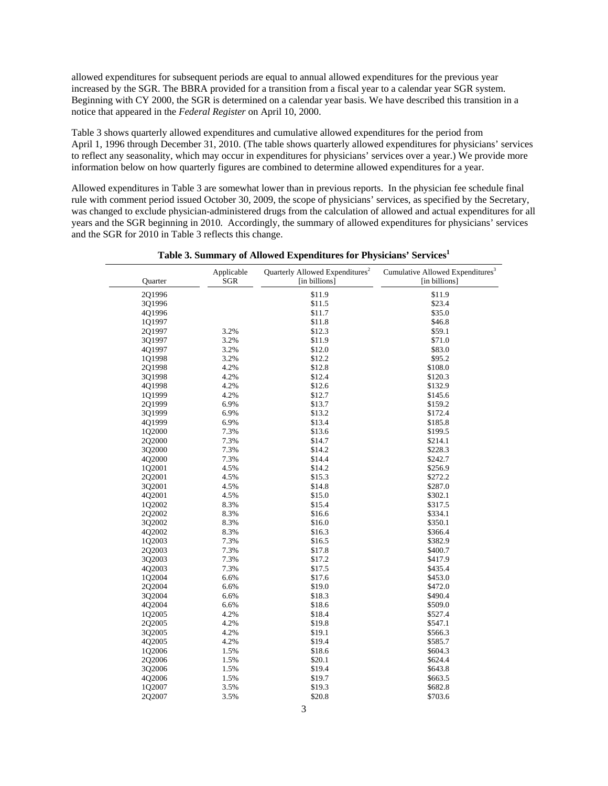allowed expenditures for subsequent periods are equal to annual allowed expenditures for the previous year increased by the SGR. The BBRA provided for a transition from a fiscal year to a calendar year SGR system. Beginning with CY 2000, the SGR is determined on a calendar year basis. We have described this transition in a notice that appeared in the *Federal Register* on April 10, 2000.

Table 3 shows quarterly allowed expenditures and cumulative allowed expenditures for the period from April 1, 1996 through December 31, 2010. (The table shows quarterly allowed expenditures for physicians' services to reflect any seasonality, which may occur in expenditures for physicians' services over a year.) We provide more information below on how quarterly figures are combined to determine allowed expenditures for a year.

Allowed expenditures in Table 3 are somewhat lower than in previous reports. In the physician fee schedule final rule with comment period issued October 30, 2009, the scope of physicians' services, as specified by the Secretary, was changed to exclude physician-administered drugs from the calculation of allowed and actual expenditures for all years and the SGR beginning in 2010. Accordingly, the summary of allowed expenditures for physicians' services and the SGR for 2010 in Table 3 reflects this change.

| Quarter          | Applicable<br><b>SGR</b> | Quarterly Allowed Expenditures <sup>2</sup><br>[in billions] | Cumulative Allowed Expenditures <sup>3</sup><br>[in billions] |
|------------------|--------------------------|--------------------------------------------------------------|---------------------------------------------------------------|
| 2Q1996           |                          | \$11.9                                                       | \$11.9                                                        |
| 3Q1996           |                          | \$11.5                                                       | \$23.4                                                        |
| 4Q1996           |                          | \$11.7                                                       | \$35.0                                                        |
| 1Q1997           |                          | \$11.8                                                       | \$46.8                                                        |
| 2Q1997           | 3.2%                     | \$12.3                                                       | \$59.1                                                        |
| 3Q1997           | 3.2%                     | \$11.9                                                       | \$71.0                                                        |
| 4Q1997           | 3.2%                     | \$12.0                                                       | \$83.0                                                        |
| 1Q1998           | 3.2%                     | \$12.2                                                       | \$95.2                                                        |
| 2Q1998           | 4.2%                     | \$12.8                                                       | \$108.0                                                       |
| 3Q1998           | 4.2%                     | \$12.4                                                       | \$120.3                                                       |
| 4Q1998           | 4.2%                     | \$12.6                                                       | \$132.9                                                       |
| 1Q1999           | 4.2%                     | \$12.7                                                       | \$145.6                                                       |
| 2Q1999           | 6.9%                     | \$13.7                                                       | \$159.2                                                       |
| 3Q1999           | 6.9%                     | \$13.2                                                       | \$172.4                                                       |
| 4Q1999           | 6.9%                     | \$13.4                                                       | \$185.8                                                       |
| 1Q2000           | 7.3%                     | \$13.6                                                       | \$199.5                                                       |
| 2Q2000           | 7.3%                     | \$14.7                                                       | \$214.1                                                       |
| 3Q2000           | 7.3%                     | \$14.2                                                       | \$228.3                                                       |
| 4Q2000           | 7.3%                     | \$14.4                                                       | \$242.7                                                       |
| 1Q2001           | 4.5%                     | \$14.2                                                       | \$256.9                                                       |
| 2Q2001           | 4.5%                     | \$15.3                                                       | \$272.2                                                       |
| 3Q2001           | 4.5%                     | \$14.8                                                       | \$287.0                                                       |
| 4Q2001           | 4.5%                     | \$15.0                                                       | \$302.1                                                       |
|                  | 8.3%                     | \$15.4                                                       | \$317.5                                                       |
| 1Q2002<br>2Q2002 | 8.3%                     | \$16.6                                                       | \$334.1                                                       |
| 3Q2002           | 8.3%                     | \$16.0                                                       | \$350.1                                                       |
| 4Q2002           | 8.3%                     | \$16.3                                                       | \$366.4                                                       |
| 1Q2003           | 7.3%                     | \$16.5                                                       | \$382.9                                                       |
| 2Q2003           | 7.3%                     | \$17.8                                                       | \$400.7                                                       |
| 3Q2003           | 7.3%                     | \$17.2                                                       | \$417.9                                                       |
|                  |                          |                                                              |                                                               |
| 4Q2003           | 7.3%                     | \$17.5                                                       | \$435.4                                                       |
| 1Q2004           | 6.6%                     | \$17.6                                                       | \$453.0                                                       |
| 2Q2004           | 6.6%                     | \$19.0                                                       | \$472.0                                                       |
| 3Q2004           | 6.6%                     | \$18.3                                                       | \$490.4                                                       |
| 4Q2004           | 6.6%                     | \$18.6                                                       | \$509.0                                                       |
| 1Q2005           | 4.2%                     | \$18.4                                                       | \$527.4                                                       |
| 2Q2005           | 4.2%                     | \$19.8                                                       | \$547.1                                                       |
| 3Q2005           | 4.2%                     | \$19.1                                                       | \$566.3                                                       |
| 4Q2005           | 4.2%                     | \$19.4                                                       | \$585.7                                                       |
| 1Q2006           | 1.5%                     | \$18.6                                                       | \$604.3                                                       |
| 2Q2006           | 1.5%                     | \$20.1                                                       | \$624.4                                                       |
| 3Q2006           | 1.5%                     | \$19.4                                                       | \$643.8                                                       |
| 4Q2006           | 1.5%                     | \$19.7                                                       | \$663.5                                                       |
| 1Q2007           | 3.5%                     | \$19.3                                                       | \$682.8                                                       |
| 2Q2007           | 3.5%                     | \$20.8                                                       | \$703.6                                                       |

**Table 3. Summary of Allowed Expenditures for Physicians' Services[1](#page-3-0)**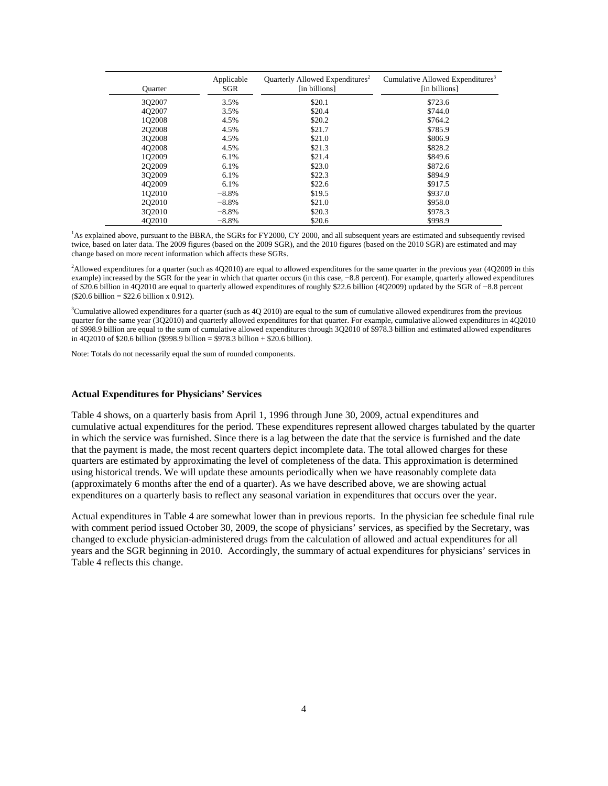| <b>Ouarter</b> | Applicable<br>SGR | Quarterly Allowed Expenditures <sup>2</sup><br>[in billions] | Cumulative Allowed Expenditures <sup>3</sup><br>[in billions] |
|----------------|-------------------|--------------------------------------------------------------|---------------------------------------------------------------|
| 302007         | 3.5%              | \$20.1                                                       | \$723.6                                                       |
| 402007         | 3.5%              | \$20.4                                                       | \$744.0                                                       |
| 102008         | 4.5%              | \$20.2                                                       | \$764.2                                                       |
| 202008         | 4.5%              | \$21.7                                                       | \$785.9                                                       |
| 302008         | 4.5%              | \$21.0                                                       | \$806.9                                                       |
| 402008         | 4.5%              | \$21.3                                                       | \$828.2                                                       |
| 102009         | 6.1%              | \$21.4                                                       | \$849.6                                                       |
| 2Q2009         | 6.1%              | \$23.0                                                       | \$872.6                                                       |
| 302009         | 6.1%              | \$22.3                                                       | \$894.9                                                       |
| 402009         | 6.1%              | \$22.6                                                       | \$917.5                                                       |
| 102010         | $-8.8%$           | \$19.5                                                       | \$937.0                                                       |
| 2Q2010         | $-8.8\%$          | \$21.0                                                       | \$958.0                                                       |
| 302010         | $-8.8%$           | \$20.3                                                       | \$978.3                                                       |
| 4Q2010         | $-8.8%$           | \$20.6                                                       | \$998.9                                                       |

<span id="page-3-0"></span><sup>1</sup>As explained above, pursuant to the BBRA, the SGRs for FY2000, CY 2000, and all subsequent years are estimated and subsequently revised twice, based on later data. The 2009 figures (based on the 2009 SGR), and the 2010 figures (based on the 2010 SGR) are estimated and may change based on more recent information which affects these SGRs.

<span id="page-3-1"></span>2 Allowed expenditures for a quarter (such as 4Q2010) are equal to allowed expenditures for the same quarter in the previous year (4Q2009 in this example) increased by the SGR for the year in which that quarter occurs (in this case, −8.8 percent). For example, quarterly allowed expenditures of \$20.6 billion in 4Q2010 are equal to quarterly allowed expenditures of roughly \$22.6 billion (4Q2009) updated by the SGR of −8.8 percent  $($20.6 \text{ billion} = $22.6 \text{ billion x } 0.912).$ 

<span id="page-3-2"></span><sup>3</sup>Cumulative allowed expenditures for a quarter (such as 4Q 2010) are equal to the sum of cumulative allowed expenditures from the previous quarter for the same year (3Q2010) and quarterly allowed expenditures for that quarter. For example, cumulative allowed expenditures in 4Q2010 of \$998.9 billion are equal to the sum of cumulative allowed expenditures through 3Q2010 of \$978.3 billion and estimated allowed expenditures in 4Q2010 of \$20.6 billion (\$998.9 billion = \$978.3 billion + \$20.6 billion).

Note: Totals do not necessarily equal the sum of rounded components.

#### **Actual Expenditures for Physicians' Services**

Table 4 shows, on a quarterly basis from April 1, 1996 through June 30, 2009, actual expenditures and cumulative actual expenditures for the period. These expenditures represent allowed charges tabulated by the quarter in which the service was furnished. Since there is a lag between the date that the service is furnished and the date that the payment is made, the most recent quarters depict incomplete data. The total allowed charges for these quarters are estimated by approximating the level of completeness of the data. This approximation is determined using historical trends. We will update these amounts periodically when we have reasonably complete data (approximately 6 months after the end of a quarter). As we have described above, we are showing actual expenditures on a quarterly basis to reflect any seasonal variation in expenditures that occurs over the year.

Actual expenditures in Table 4 are somewhat lower than in previous reports. In the physician fee schedule final rule with comment period issued October 30, 2009, the scope of physicians' services, as specified by the Secretary, was changed to exclude physician-administered drugs from the calculation of allowed and actual expenditures for all years and the SGR beginning in 2010. Accordingly, the summary of actual expenditures for physicians' services in Table 4 reflects this change.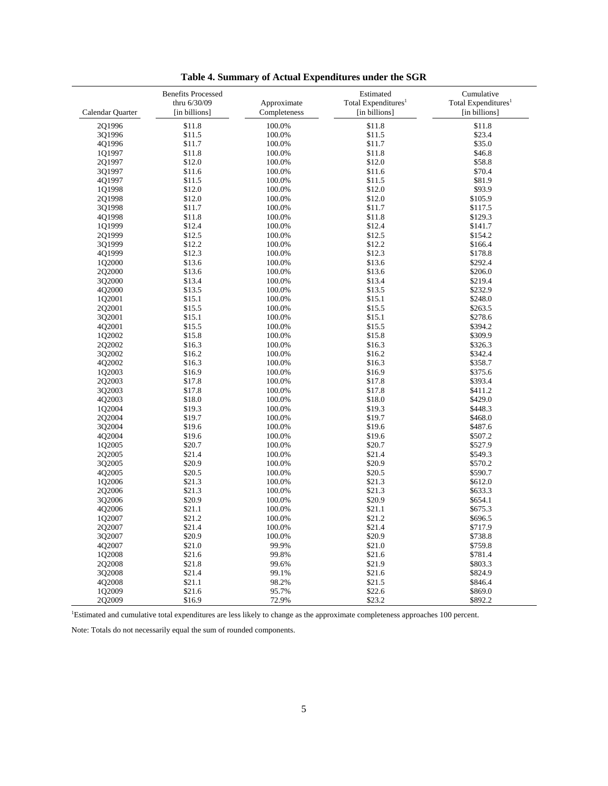|                  | <b>Benefits Processed</b><br>thru 6/30/09 | Approximate  | Estimated<br>Total Expenditures <sup>1</sup> | Cumulative<br>Total Expenditures <sup>1</sup> |
|------------------|-------------------------------------------|--------------|----------------------------------------------|-----------------------------------------------|
| Calendar Quarter | [in billions]                             | Completeness | [in billions]                                | [in billions]                                 |
| 201996           | \$11.8                                    | 100.0%       | \$11.8                                       | \$11.8                                        |
| 3Q1996           | \$11.5                                    | 100.0%       | \$11.5                                       | \$23.4                                        |
| 4Q1996           | \$11.7                                    | 100.0%       | \$11.7                                       | \$35.0                                        |
| 101997           | \$11.8                                    | 100.0%       | \$11.8                                       | \$46.8                                        |
| 2Q1997           | \$12.0                                    | 100.0%       | \$12.0                                       | \$58.8                                        |
| 301997           | \$11.6                                    | 100.0%       | \$11.6                                       | \$70.4                                        |
| 4Q1997           | \$11.5                                    | 100.0%       | \$11.5                                       | \$81.9                                        |
| 101998           | \$12.0                                    | 100.0%       | \$12.0                                       | \$93.9                                        |
| 2Q1998           | \$12.0                                    | 100.0%       | \$12.0                                       | \$105.9                                       |
| 3Q1998           | \$11.7                                    | 100.0%       | \$11.7                                       | \$117.5                                       |
| 4Q1998           | \$11.8                                    | 100.0%       | \$11.8                                       | \$129.3                                       |
| 101999           | \$12.4                                    | 100.0%       | \$12.4                                       | \$141.7                                       |
| 2Q1999           | \$12.5                                    | 100.0%       | \$12.5                                       | \$154.2                                       |
| 301999           | \$12.2                                    | 100.0%       | \$12.2                                       | \$166.4                                       |
| 4Q1999           | \$12.3                                    | 100.0%       | \$12.3                                       | \$178.8                                       |
| 1Q2000           | \$13.6                                    | 100.0%       | \$13.6                                       | \$292.4                                       |
| 2Q2000           | \$13.6                                    | 100.0%       | \$13.6                                       | \$206.0                                       |
| 3Q2000           | \$13.4                                    | 100.0%       | \$13.4                                       | \$219.4                                       |
| 4Q2000           | \$13.5                                    | 100.0%       | \$13.5                                       | \$232.9                                       |
| 102001           | \$15.1                                    | 100.0%       | \$15.1                                       | \$248.0                                       |
| 2Q2001           | \$15.5                                    | 100.0%       | \$15.5                                       | \$263.5                                       |
| 3Q2001           | \$15.1                                    | 100.0%       | \$15.1                                       | \$278.6                                       |
| 4Q2001           | \$15.5                                    | 100.0%       | \$15.5                                       | \$394.2                                       |
| 102002           | \$15.8                                    | 100.0%       | \$15.8                                       | \$309.9                                       |
| 2Q2002           | \$16.3                                    | 100.0%       | \$16.3                                       | \$326.3                                       |
| 3Q2002           | \$16.2                                    | 100.0%       | \$16.2                                       | \$342.4                                       |
| 4Q2002           | \$16.3                                    | 100.0%       | \$16.3                                       | \$358.7                                       |
| 1Q2003           | \$16.9                                    | 100.0%       | \$16.9                                       | \$375.6                                       |
| 2Q2003           | \$17.8                                    | 100.0%       | \$17.8                                       | \$393.4                                       |
| 3Q2003           | \$17.8                                    | 100.0%       | \$17.8                                       | \$411.2                                       |
| 4Q2003           | \$18.0                                    | 100.0%       | \$18.0                                       | \$429.0                                       |
| 1Q2004           | \$19.3                                    | 100.0%       | \$19.3                                       | \$448.3                                       |
| 2Q2004           | \$19.7                                    | 100.0%       | \$19.7                                       | \$468.0                                       |
| 302004           | \$19.6                                    | 100.0%       | \$19.6                                       | \$487.6                                       |
| 4Q2004           | \$19.6                                    | 100.0%       | \$19.6                                       | \$507.2                                       |
| 1Q2005           | \$20.7                                    | 100.0%       | \$20.7                                       | \$527.9                                       |
| 2Q2005           | \$21.4                                    | 100.0%       | \$21.4                                       | \$549.3                                       |
| 302005           | \$20.9                                    | 100.0%       | \$20.9                                       | \$570.2                                       |
| 4Q2005           | \$20.5                                    | 100.0%       | \$20.5                                       | \$590.7                                       |
| 102006           | \$21.3                                    | 100.0%       | \$21.3                                       | \$612.0                                       |
| 2Q2006           | \$21.3                                    | 100.0%       | \$21.3                                       | \$633.3                                       |
| 302006           | \$20.9                                    | 100.0%       | \$20.9                                       | \$654.1                                       |
| 4Q2006           | \$21.1                                    | 100.0%       | \$21.1                                       | \$675.3                                       |
| 102007           | \$21.2                                    | 100.0%       | \$21.2                                       | \$696.5                                       |
| 2Q2007           | \$21.4                                    | 100.0%       | \$21.4                                       | \$717.9                                       |
| 302007           | \$20.9                                    | 100.0%       | \$20.9                                       | \$738.8                                       |
| 4Q2007           | \$21.0                                    | 99.9%        | \$21.0                                       | \$759.8                                       |
| 102008           | \$21.6                                    | 99.8%        | \$21.6                                       | \$781.4                                       |
| 2Q2008           | \$21.8                                    | 99.6%        | \$21.9                                       | \$803.3                                       |
| 3Q2008           | \$21.4                                    | 99.1%        | \$21.6                                       | \$824.9                                       |
| 4Q2008           | \$21.1                                    | 98.2%        | \$21.5                                       | \$846.4                                       |
| 1Q2009           | \$21.6                                    | 95.7%        | \$22.6                                       | \$869.0                                       |
| 2Q2009           | \$16.9                                    | 72.9%        | \$23.2                                       | \$892.2                                       |

**Table 4. Summary of Actual Expenditures under the SGR** 

<span id="page-4-0"></span>1 Estimated and cumulative total expenditures are less likely to change as the approximate completeness approaches 100 percent.

Note: Totals do not necessarily equal the sum of rounded components.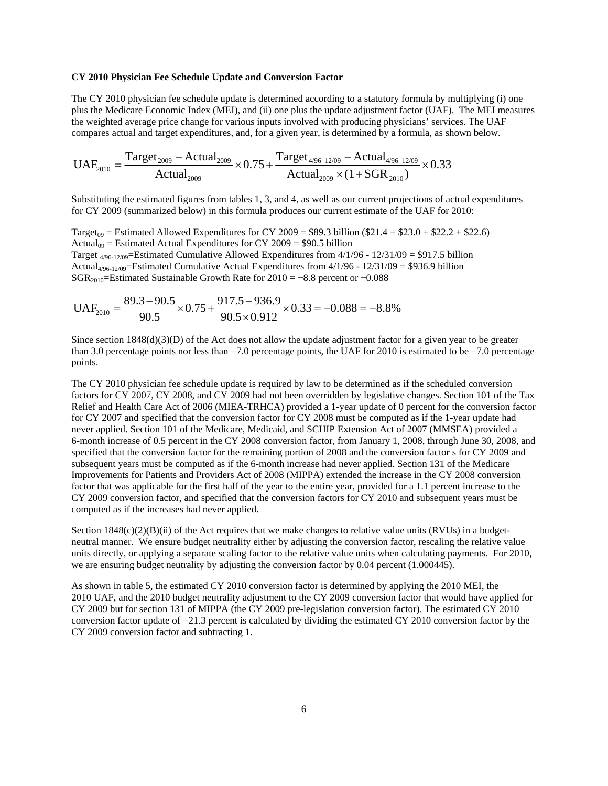### **CY 2010 Physician Fee Schedule Update and Conversion Factor**

The CY 2010 physician fee schedule update is determined according to a statutory formula by multiplying (i) one plus the Medicare Economic Index (MEI), and (ii) one plus the update adjustment factor (UAF). The MEI measures the weighted average price change for various inputs involved with producing physicians' services. The UAF compares actual and target expenditures, and, for a given year, is determined by a formula, as shown below.

$$
UAF_{2010} = \frac{Target_{2009} - Actual_{2009}}{Actual_{2009}} \times 0.75 + \frac{Target_{4/96-12/09} -Actual_{4/96-12/09}}{Actual_{2009} \times (1 + SGR_{2010})} \times 0.33
$$

Substituting the estimated figures from tables 1, 3, and 4, as well as our current projections of actual expenditures for CY 2009 (summarized below) in this formula produces our current estimate of the UAF for 2010:

Target<sub>09</sub> = Estimated Allowed Expenditures for CY 2009 = \$89.3 billion (\$21.4 + \$23.0 + \$22.2 + \$22.6) Actual<sub>09</sub> = Estimated Actual Expenditures for CY 2009 = \$90.5 billion Target  $4.96-12.09$  Estimated Cumulative Allowed Expenditures from  $4/1/96 - 12/31/09 = $917.5$  billion Actual<sub>4/96-12/09</sub>=Estimated Cumulative Actual Expenditures from  $4/1/96 - 12/31/09 = $936.9$  billion SGR<sub>2010</sub>=Estimated Sustainable Growth Rate for  $2010 = -8.8$  percent or  $-0.088$ 

$$
UAF_{2010} = \frac{89.3 - 90.5}{90.5} \times 0.75 + \frac{917.5 - 936.9}{90.5 \times 0.912} \times 0.33 = -0.088 = -8.8\%
$$

Since section  $1848(d)(3)(D)$  of the Act does not allow the update adjustment factor for a given year to be greater than 3.0 percentage points nor less than −7.0 percentage points, the UAF for 2010 is estimated to be −7.0 percentage points.

The CY 2010 physician fee schedule update is required by law to be determined as if the scheduled conversion factors for CY 2007, CY 2008, and CY 2009 had not been overridden by legislative changes. Section 101 of the Tax Relief and Health Care Act of 2006 (MIEA-TRHCA) provided a 1-year update of 0 percent for the conversion factor for CY 2007 and specified that the conversion factor for CY 2008 must be computed as if the 1-year update had never applied. Section 101 of the Medicare, Medicaid, and SCHIP Extension Act of 2007 (MMSEA) provided a 6-month increase of 0.5 percent in the CY 2008 conversion factor, from January 1, 2008, through June 30, 2008, and specified that the conversion factor for the remaining portion of 2008 and the conversion factor s for CY 2009 and subsequent years must be computed as if the 6-month increase had never applied. Section 131 of the Medicare Improvements for Patients and Providers Act of 2008 (MIPPA) extended the increase in the CY 2008 conversion factor that was applicable for the first half of the year to the entire year, provided for a 1.1 percent increase to the CY 2009 conversion factor, and specified that the conversion factors for CY 2010 and subsequent years must be computed as if the increases had never applied.

Section  $1848(c)(2)(B)(ii)$  of the Act requires that we make changes to relative value units (RVUs) in a budgetneutral manner. We ensure budget neutrality either by adjusting the conversion factor, rescaling the relative value units directly, or applying a separate scaling factor to the relative value units when calculating payments. For 2010, we are ensuring budget neutrality by adjusting the conversion factor by 0.04 percent (1.000445).

As shown in table 5, the estimated CY 2010 conversion factor is determined by applying the 2010 MEI, the 2010 UAF, and the 2010 budget neutrality adjustment to the CY 2009 conversion factor that would have applied for CY 2009 but for section 131 of MIPPA (the CY 2009 pre-legislation conversion factor). The estimated CY 2010 conversion factor update of −21.3 percent is calculated by dividing the estimated CY 2010 conversion factor by the CY 2009 conversion factor and subtracting 1.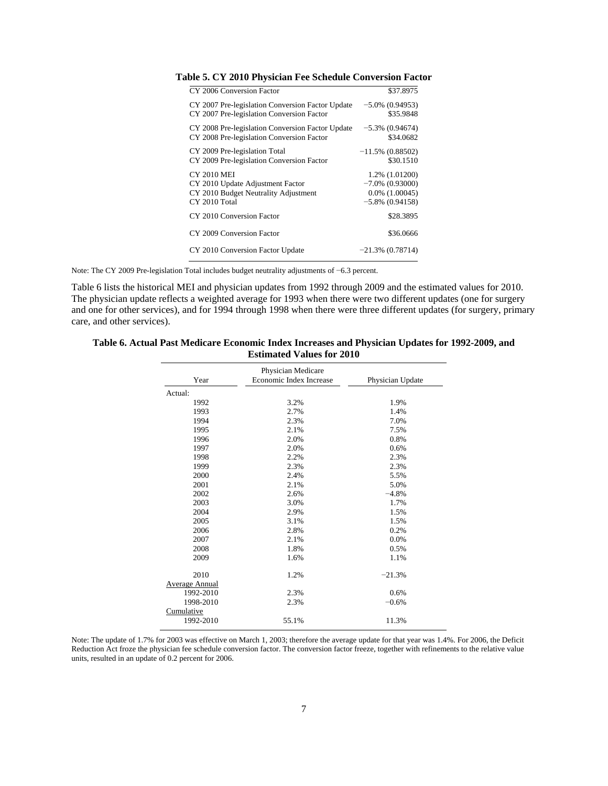| CY 2006 Conversion Factor                        | \$37.8975           |
|--------------------------------------------------|---------------------|
| CY 2007 Pre-legislation Conversion Factor Update | $-5.0\%$ (0.94953)  |
| CY 2007 Pre-legislation Conversion Factor        | \$35.9848           |
| CY 2008 Pre-legislation Conversion Factor Update | $-5.3\%$ (0.94674)  |
| CY 2008 Pre-legislation Conversion Factor        | \$34.0682           |
| CY 2009 Pre-legislation Total                    | $-11.5\%$ (0.88502) |
| CY 2009 Pre-legislation Conversion Factor        | \$30.1510           |
| <b>CY 2010 MEI</b>                               | 1.2% (1.01200)      |
| CY 2010 Update Adjustment Factor                 | $-7.0\%$ (0.93000)  |
| CY 2010 Budget Neutrality Adjustment             | $0.0\%$ (1.00045)   |
| CY 2010 Total                                    | $-5.8\%$ (0.94158)  |
| CY 2010 Conversion Factor                        | \$28.3895           |
| CY 2009 Conversion Factor                        | \$36,0666           |
|                                                  |                     |
| CY 2010 Conversion Factor Update                 | $-21.3\%$ (0.78714) |
|                                                  |                     |

### **Table 5. CY 2010 Physician Fee Schedule Conversion Factor**

Note: The CY 2009 Pre-legislation Total includes budget neutrality adjustments of −6.3 percent.

Table 6 lists the historical MEI and physician updates from 1992 through 2009 and the estimated values for 2010. The physician update reflects a weighted average for 1993 when there were two different updates (one for surgery and one for other services), and for 1994 through 1998 when there were three different updates (for surgery, primary care, and other services).

# **Table 6. Actual Past Medicare Economic Index Increases and Physician Updates for 1992-2009, and Estimated Values for 2010**

| Physician Medicare |                         |                  |  |
|--------------------|-------------------------|------------------|--|
| Year               | Economic Index Increase | Physician Update |  |
| Actual:            |                         |                  |  |
| 1992               | 3.2%                    | 1.9%             |  |
| 1993               | 2.7%                    | 1.4%             |  |
| 1994               | 2.3%                    | 7.0%             |  |
| 1995               | 2.1%                    | 7.5%             |  |
| 1996               | 2.0%                    | 0.8%             |  |
| 1997               | 2.0%                    | 0.6%             |  |
| 1998               | 2.2%                    | 2.3%             |  |
| 1999               | 2.3%                    | 2.3%             |  |
| 2000               | 2.4%                    | 5.5%             |  |
| 2001               | 2.1%                    | 5.0%             |  |
| 2002               | 2.6%                    | $-4.8%$          |  |
| 2003               | 3.0%                    | 1.7%             |  |
| 2004               | 2.9%                    | 1.5%             |  |
| 2005               | 3.1%                    | 1.5%             |  |
| 2006               | 2.8%                    | 0.2%             |  |
| 2007               | 2.1%                    | 0.0%             |  |
| 2008               | 1.8%                    | 0.5%             |  |
| 2009               | 1.6%                    | 1.1%             |  |
| 2010               | 1.2%                    | $-21.3%$         |  |
| Average Annual     |                         |                  |  |
| 1992-2010          | 2.3%                    | 0.6%             |  |
| 1998-2010          | 2.3%                    | $-0.6%$          |  |
| Cumulative         |                         |                  |  |
| 1992-2010          | 55.1%                   | 11.3%            |  |

Note: The update of 1.7% for 2003 was effective on March 1, 2003; therefore the average update for that year was 1.4%. For 2006, the Deficit Reduction Act froze the physician fee schedule conversion factor. The conversion factor freeze, together with refinements to the relative value units, resulted in an update of 0.2 percent for 2006.